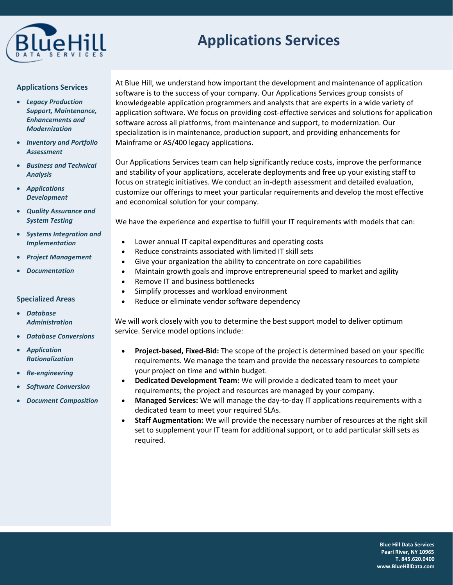

# **Applications Services**

#### **Applications Services**

- *Legacy Production Support, Maintenance, Enhancements and Modernization*
- *Inventory and Portfolio Assessment*
- *Business and Technical Analysis*
- *Applications Development*
- *Quality Assurance and System Testing*
- *Systems Integration and Implementation*
- *Project Management*
- *Documentation*

## **Specialized Areas**

- *Database Administration*
- *Database Conversions*
- *Application Rationalization*
- *Re-engineering*
- *Software Conversion*
- *Document Composition*

At Blue Hill, we understand how important the development and maintenance of application software is to the success of your company. Our Applications Services group consists of knowledgeable application programmers and analysts that are experts in a wide variety of application software. We focus on providing cost-effective services and solutions for application software across all platforms, from maintenance and support, to modernization. Our specialization is in maintenance, production support, and providing enhancements for Mainframe or AS/400 legacy applications.

Our Applications Services team can help significantly reduce costs, improve the performance and stability of your applications, accelerate deployments and free up your existing staff to focus on strategic initiatives. We conduct an in-depth assessment and detailed evaluation, customize our offerings to meet your particular requirements and develop the most effective and economical solution for your company.

We have the experience and expertise to fulfill your IT requirements with models that can:

- Lower annual IT capital expenditures and operating costs
- Reduce constraints associated with limited IT skill sets
- Give your organization the ability to concentrate on core capabilities
- Maintain growth goals and improve entrepreneurial speed to market and agility
- Remove IT and business bottlenecks
- Simplify processes and workload environment
- Reduce or eliminate vendor software dependency

We will work closely with you to determine the best support model to deliver optimum service. Service model options include:

- **Project-based, Fixed-Bid:** The scope of the project is determined based on your specific requirements. We manage the team and provide the necessary resources to complete your project on time and within budget.
- **Dedicated Development Team:** We will provide a dedicated team to meet your requirements; the project and resources are managed by your company.
- **Managed Services:** We will manage the day-to-day IT applications requirements with a dedicated team to meet your required SLAs.
- **Staff Augmentation:** We will provide the necessary number of resources at the right skill set to supplement your IT team for additional support, or to add particular skill sets as required.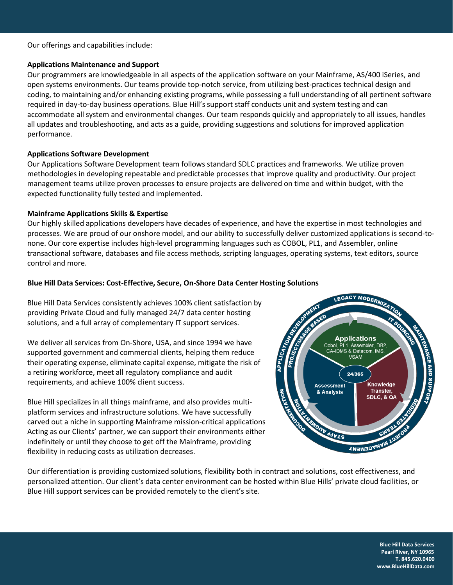Our offerings and capabilities include:

#### **Applications Maintenance and Support**

Our programmers are knowledgeable in all aspects of the application software on your Mainframe, AS/400 iSeries, and open systems environments. Our teams provide top-notch service, from utilizing best-practices technical design and coding, to maintaining and/or enhancing existing programs, while possessing a full understanding of all pertinent software required in day-to-day business operations. Blue Hill's support staff conducts unit and system testing and can accommodate all system and environmental changes. Our team responds quickly and appropriately to all issues, handles all updates and troubleshooting, and acts as a guide, providing suggestions and solutions for improved application performance.

## **Applications Software Development**

Our Applications Software Development team follows standard SDLC practices and frameworks. We utilize proven methodologies in developing repeatable and predictable processes that improve quality and productivity. Our project management teams utilize proven processes to ensure projects are delivered on time and within budget, with the expected functionality fully tested and implemented.

## **Mainframe Applications Skills & Expertise**

Our highly skilled applications developers have decades of experience, and have the expertise in most technologies and processes. We are proud of our onshore model, and our ability to successfully deliver customized applications is second-tonone. Our core expertise includes high-level programming languages such as COBOL, PL1, and Assembler, online transactional software, databases and file access methods, scripting languages, operating systems, text editors, source control and more.

## **Blue Hill Data Services: Cost-Effective, Secure, On-Shore Data Center Hosting Solutions**

Blue Hill Data Services consistently achieves 100% client satisfaction by providing Private Cloud and fully managed 24/7 data center hosting solutions, and a full array of complementary IT support services.

We deliver all services from On-Shore, USA, and since 1994 we have supported government and commercial clients, helping them reduce their operating expense, eliminate capital expense, mitigate the risk of a retiring workforce, meet all regulatory compliance and audit requirements, and achieve 100% client success.

Blue Hill specializes in all things mainframe, and also provides multiplatform services and infrastructure solutions. We have successfully carved out a niche in supporting Mainframe mission-critical applications Acting as our Clients' partner, we can support their environments either indefinitely or until they choose to get off the Mainframe, providing flexibility in reducing costs as utilization decreases.



Our differentiation is providing customized solutions, flexibility both in contract and solutions, cost effectiveness, and personalized attention. Our client's data center environment can be hosted within Blue Hills' private cloud facilities, or Blue Hill support services can be provided remotely to the client's site.